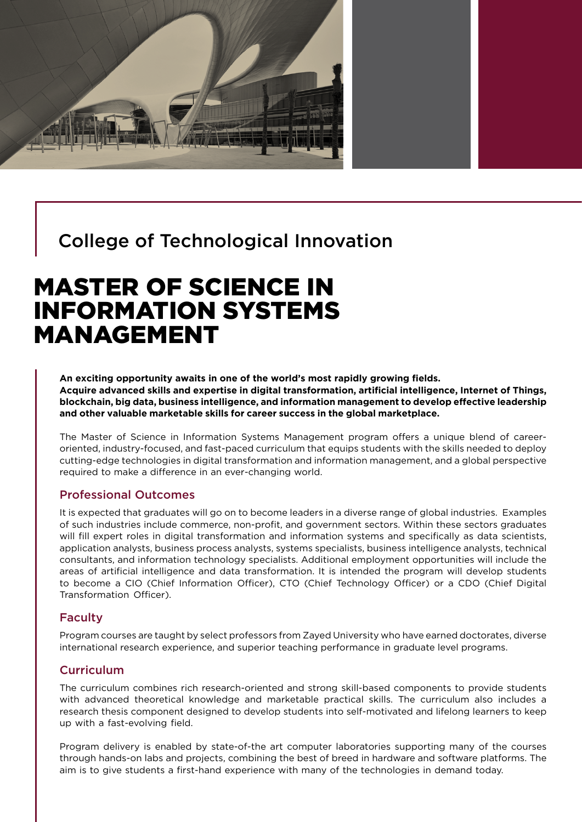

# College of Technological Innovation

# MASTER OF SCIENCE IN INFORMATION SYSTEMS MANAGEMENT

**An exciting opportunity awaits in one of the world's most rapidly growing fields. Acquire advanced skills and expertise in digital transformation, artificial intelligence, Internet of Things, blockchain, big data, business intelligence, and information management to develop effective leadership and other valuable marketable skills for career success in the global marketplace.**

The Master of Science in Information Systems Management program offers a unique blend of careeroriented, industry-focused, and fast-paced curriculum that equips students with the skills needed to deploy cutting-edge technologies in digital transformation and information management, and a global perspective required to make a difference in an ever-changing world.

## Professional Outcomes

It is expected that graduates will go on to become leaders in a diverse range of global industries. Examples of such industries include commerce, non-profit, and government sectors. Within these sectors graduates will fill expert roles in digital transformation and information systems and specifically as data scientists, application analysts, business process analysts, systems specialists, business intelligence analysts, technical consultants, and information technology specialists. Additional employment opportunities will include the areas of artificial intelligence and data transformation. It is intended the program will develop students to become [a CIO \(Chief Information Officer\), CTO \(Chief Technology Officer\) or a CDO \(Chief Digital](https://www.google.com/search?safe=strict&sxsrf=ALeKk00JQYN9NHB593avjypIuME-2vnJkA:1614073929479&q=The+program+will+assist+students+to+successfully+lead+in+careers+to+become+a+CIO+(Chief+Information+Officer),+CTO+(Chief+Technology+Officer)+or+a+CDO+(Chief+Digital+Transformation+Officer).&spell=1&sa=X&ved=2ahUKEwjHs9T53f_uAhX5UhUIHfUWBwAQBSgAegQIDxAw) [Transformation Officer\).](https://www.google.com/search?safe=strict&sxsrf=ALeKk00JQYN9NHB593avjypIuME-2vnJkA:1614073929479&q=The+program+will+assist+students+to+successfully+lead+in+careers+to+become+a+CIO+(Chief+Information+Officer),+CTO+(Chief+Technology+Officer)+or+a+CDO+(Chief+Digital+Transformation+Officer).&spell=1&sa=X&ved=2ahUKEwjHs9T53f_uAhX5UhUIHfUWBwAQBSgAegQIDxAw)

### Faculty

Program courses are taught by select professors from Zayed University who have earned doctorates, diverse international research experience, and superior teaching performance in graduate level programs.

## **Curriculum**

The curriculum combines rich research-oriented and strong skill-based components to provide students with advanced theoretical knowledge and marketable practical skills. The curriculum also includes a research thesis component designed to develop students into self-motivated and lifelong learners to keep up with a fast-evolving field.

Program delivery is enabled by state-of-the art computer laboratories supporting many of the courses through hands-on labs and projects, combining the best of breed in hardware and software platforms. The aim is to give students a first-hand experience with many of the technologies in demand today.